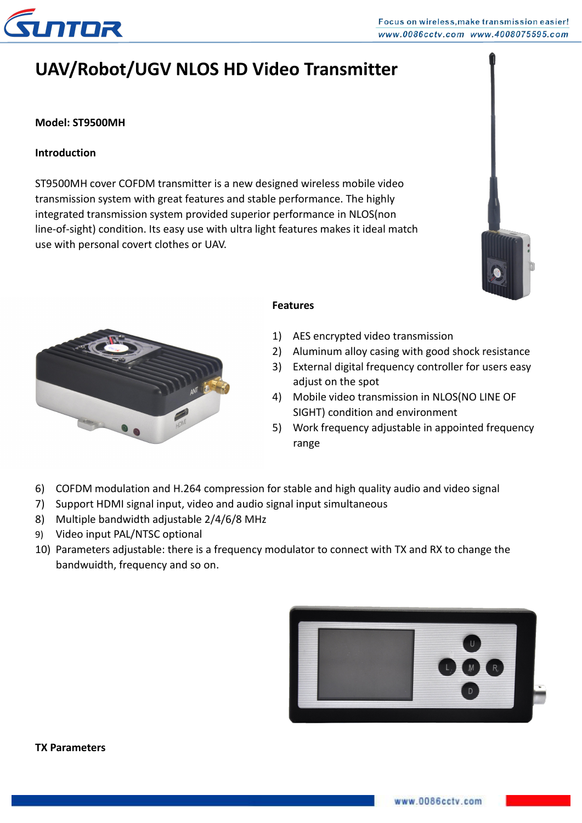

#### Focus on wireless, make transmission easier! www.0086cctv.com www.4008075595.com

# **UAV/Robot/UGV NLOS HD Video Transmitter**

## **Model: ST9500MH**

## **Introduction**

ST9500MH cover COFDM transmitter is a new designed wireless mobile video transmission system with great features and stable performance. The highly integrated transmission system provided superior performance in NLOS(non line-of-sight) condition. Its easy use with ultra light features makes it ideal match use with personal covert clothes or UAV.





#### **Features**

- 1) AES encrypted video transmission
- 2) Aluminum alloy casing with good shock resistance
- 3) External digital frequency controller for users easy adjust on the spot
- 4) Mobile video transmission in NLOS(NO LINE OF SIGHT) condition and environment
- 5) Work frequency adjustable in appointed frequency range
- 6) COFDM modulation and H.264 compression for stable and high quality audio and video signal
- 7) Support HDMI signal input, video and audio signal input simultaneous
- 8) Multiple bandwidth adjustable 2/4/6/8 MHz
- 9) Video input PAL/NTSC optional
- 10) Parameters adjustable: there is a frequency modulator to connect with TX and RX to change the bandwuidth, frequency and so on.

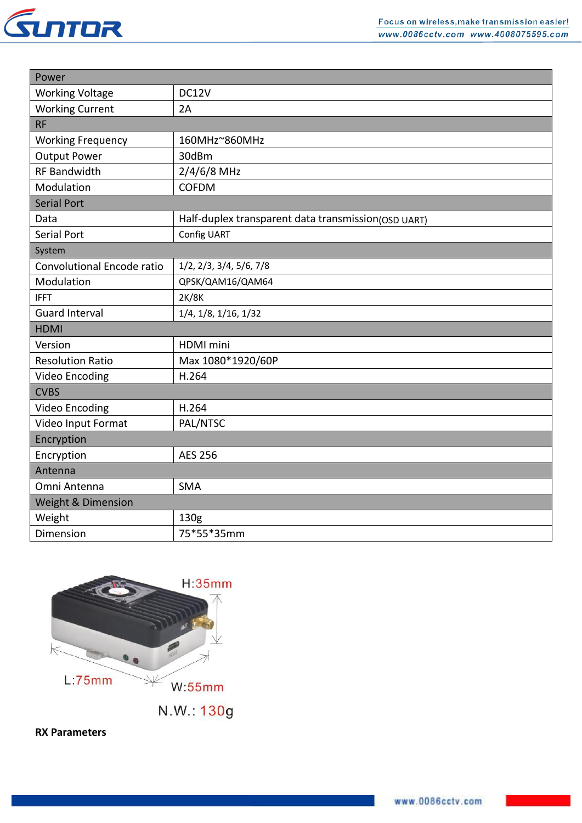

| Power                      |                                                     |  |
|----------------------------|-----------------------------------------------------|--|
| <b>Working Voltage</b>     | DC12V                                               |  |
| <b>Working Current</b>     | 2A                                                  |  |
| <b>RF</b>                  |                                                     |  |
| <b>Working Frequency</b>   | 160MHz~860MHz                                       |  |
| <b>Output Power</b>        | 30dBm                                               |  |
| <b>RF Bandwidth</b>        | $2/4/6/8$ MHz                                       |  |
| Modulation                 | <b>COFDM</b>                                        |  |
| <b>Serial Port</b>         |                                                     |  |
| Data                       | Half-duplex transparent data transmission(OSD UART) |  |
| <b>Serial Port</b>         | Config UART                                         |  |
| System                     |                                                     |  |
| Convolutional Encode ratio | $1/2$ , $2/3$ , $3/4$ , $5/6$ , $7/8$               |  |
| Modulation                 | QPSK/QAM16/QAM64                                    |  |
| <b>IFFT</b>                | 2K/8K                                               |  |
| <b>Guard Interval</b>      | 1/4, 1/8, 1/16, 1/32                                |  |
| <b>HDMI</b>                |                                                     |  |
| Version                    | HDMI mini                                           |  |
| <b>Resolution Ratio</b>    | Max 1080*1920/60P                                   |  |
| <b>Video Encoding</b>      | H.264                                               |  |
| <b>CVBS</b>                |                                                     |  |
| <b>Video Encoding</b>      | H.264                                               |  |
| Video Input Format         | PAL/NTSC                                            |  |
| Encryption                 |                                                     |  |
| Encryption                 | <b>AES 256</b>                                      |  |
| Antenna                    |                                                     |  |
| Omni Antenna               | <b>SMA</b>                                          |  |
| Weight & Dimension         |                                                     |  |
| Weight                     | 130g                                                |  |
| Dimension                  | 75*55*35mm                                          |  |



**RX Parameters**